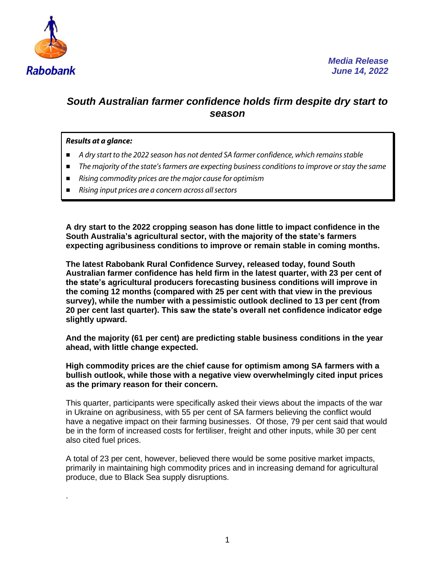

## *South Australian farmer confidence holds firm despite dry start to season*

## *Results at a glance:*

.

- *A dry start to the 2022 season has not dented SA farmer confidence, which remains stable*
- *The majority of the state'sfarmers are expecting business conditions to improve or stay the same*
- *Rising commodity prices are the major cause for optimism*
- *Rising input prices are a concern across all sectors*

**A dry start to the 2022 cropping season has done little to impact confidence in the South Australia's agricultural sector, with the majority of the state's farmers expecting agribusiness conditions to improve or remain stable in coming months.**

**The latest Rabobank Rural Confidence Survey, released today, found South Australian farmer confidence has held firm in the latest quarter, with 23 per cent of the state's agricultural producers forecasting business conditions will improve in the coming 12 months (compared with 25 per cent with that view in the previous survey), while the number with a pessimistic outlook declined to 13 per cent (from 20 per cent last quarter). This saw the state's overall net confidence indicator edge slightly upward.**

**And the majority (61 per cent) are predicting stable business conditions in the year ahead, with little change expected.**

**High commodity prices are the chief cause for optimism among SA farmers with a bullish outlook, while those with a negative view overwhelmingly cited input prices as the primary reason for their concern.** 

This quarter, participants were specifically asked their views about the impacts of the war in Ukraine on agribusiness, with 55 per cent of SA farmers believing the conflict would have a negative impact on their farming businesses. Of those, 79 per cent said that would be in the form of increased costs for fertiliser, freight and other inputs, while 30 per cent also cited fuel prices.

A total of 23 per cent, however, believed there would be some positive market impacts, primarily in maintaining high commodity prices and in increasing demand for agricultural produce, due to Black Sea supply disruptions.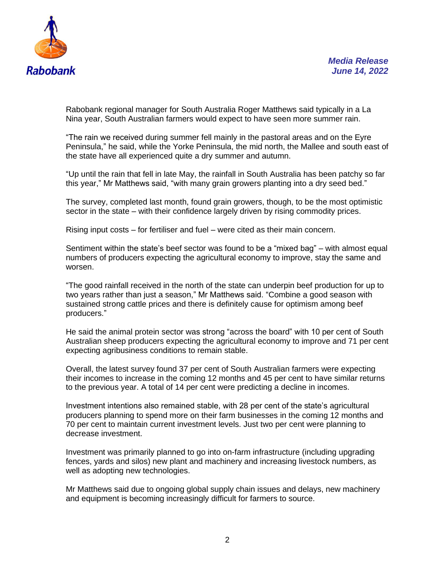



Rabobank regional manager for South Australia Roger Matthews said typically in a La Nina year, South Australian farmers would expect to have seen more summer rain.

"The rain we received during summer fell mainly in the pastoral areas and on the Eyre Peninsula," he said, while the Yorke Peninsula, the mid north, the Mallee and south east of the state have all experienced quite a dry summer and autumn.

"Up until the rain that fell in late May, the rainfall in South Australia has been patchy so far this year," Mr Matthews said, "with many grain growers planting into a dry seed bed."

The survey, completed last month, found grain growers, though, to be the most optimistic sector in the state – with their confidence largely driven by rising commodity prices.

Rising input costs – for fertiliser and fuel – were cited as their main concern.

Sentiment within the state's beef sector was found to be a "mixed bag" – with almost equal numbers of producers expecting the agricultural economy to improve, stay the same and worsen.

"The good rainfall received in the north of the state can underpin beef production for up to two years rather than just a season," Mr Matthews said. "Combine a good season with sustained strong cattle prices and there is definitely cause for optimism among beef producers."

He said the animal protein sector was strong "across the board" with 10 per cent of South Australian sheep producers expecting the agricultural economy to improve and 71 per cent expecting agribusiness conditions to remain stable.

Overall, the latest survey found 37 per cent of South Australian farmers were expecting their incomes to increase in the coming 12 months and 45 per cent to have similar returns to the previous year. A total of 14 per cent were predicting a decline in incomes.

Investment intentions also remained stable, with 28 per cent of the state's agricultural producers planning to spend more on their farm businesses in the coming 12 months and 70 per cent to maintain current investment levels. Just two per cent were planning to decrease investment.

Investment was primarily planned to go into on-farm infrastructure (including upgrading fences, yards and silos) new plant and machinery and increasing livestock numbers, as well as adopting new technologies.

Mr Matthews said due to ongoing global supply chain issues and delays, new machinery and equipment is becoming increasingly difficult for farmers to source.